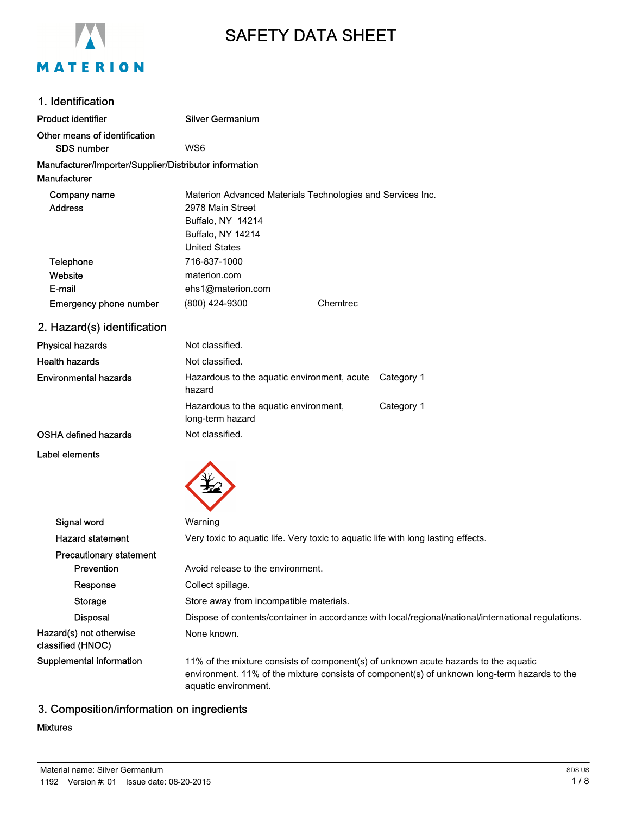

# SAFETY DATA SHEET

| 1. Identification                                                             |                                                                                                                                                                                                             |
|-------------------------------------------------------------------------------|-------------------------------------------------------------------------------------------------------------------------------------------------------------------------------------------------------------|
| <b>Product identifier</b>                                                     | <b>Silver Germanium</b>                                                                                                                                                                                     |
| Other means of identification<br><b>SDS number</b>                            | WS6                                                                                                                                                                                                         |
| Manufacturer/Importer/Supplier/Distributor information<br><b>Manufacturer</b> |                                                                                                                                                                                                             |
| Company name<br><b>Address</b>                                                | Materion Advanced Materials Technologies and Services Inc.<br>2978 Main Street<br>Buffalo, NY 14214<br>Buffalo, NY 14214<br><b>United States</b>                                                            |
| Telephone<br>Website<br>E-mail                                                | 716-837-1000<br>materion.com<br>ehs1@materion.com                                                                                                                                                           |
| <b>Emergency phone number</b>                                                 | (800) 424-9300<br>Chemtrec                                                                                                                                                                                  |
| 2. Hazard(s) identification                                                   |                                                                                                                                                                                                             |
| <b>Physical hazards</b>                                                       | Not classified.                                                                                                                                                                                             |
| <b>Health hazards</b>                                                         | Not classified.                                                                                                                                                                                             |
| <b>Environmental hazards</b>                                                  | Hazardous to the aquatic environment, acute<br>Category 1<br>hazard                                                                                                                                         |
|                                                                               | Hazardous to the aquatic environment,<br>Category 1<br>long-term hazard                                                                                                                                     |
| <b>OSHA defined hazards</b>                                                   | Not classified.                                                                                                                                                                                             |
| Label elements                                                                |                                                                                                                                                                                                             |
| Signal word                                                                   | Warning                                                                                                                                                                                                     |
| <b>Hazard statement</b>                                                       | Very toxic to aquatic life. Very toxic to aquatic life with long lasting effects.                                                                                                                           |
| <b>Precautionary statement</b><br>Prevention                                  | Avoid release to the environment.                                                                                                                                                                           |
| Response                                                                      | Collect spillage.                                                                                                                                                                                           |
| <b>Storage</b>                                                                | Store away from incompatible materials.                                                                                                                                                                     |
| <b>Disposal</b>                                                               | Dispose of contents/container in accordance with local/regional/national/international regulations.                                                                                                         |
| Hazard(s) not otherwise<br>classified (HNOC)                                  | None known.                                                                                                                                                                                                 |
| Supplemental information                                                      | 11% of the mixture consists of component(s) of unknown acute hazards to the aquatic<br>environment. 11% of the mixture consists of component(s) of unknown long-term hazards to the<br>aquatic environment. |

# 3. Composition/information on ingredients

### Mixtures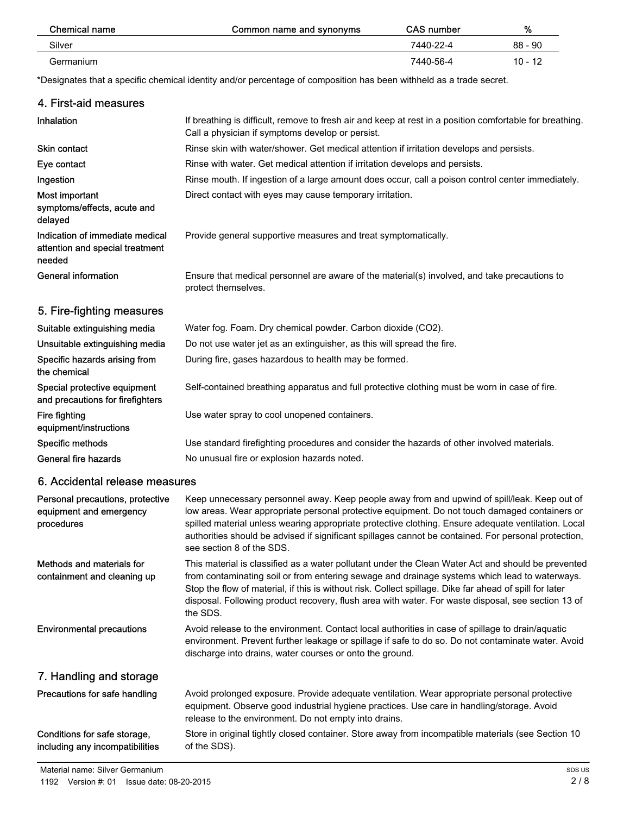| Chemical name | Common name and synonyms | <b>CAS number</b> | %         |
|---------------|--------------------------|-------------------|-----------|
| Silver        |                          | 7440-22-4         | $88 - 90$ |
| Germanium     |                          | 7440-56-4         | $10 - 12$ |

\*Designates that a specific chemical identity and/or percentage of composition has been withheld as a trade secret.

|                                                                              | Designates that a specific chemical identity and/or percentage of composition has been withheld as a trade secret.                                                                                                                                                                                                                                                                                                                        |
|------------------------------------------------------------------------------|-------------------------------------------------------------------------------------------------------------------------------------------------------------------------------------------------------------------------------------------------------------------------------------------------------------------------------------------------------------------------------------------------------------------------------------------|
| 4. First-aid measures                                                        |                                                                                                                                                                                                                                                                                                                                                                                                                                           |
| Inhalation                                                                   | If breathing is difficult, remove to fresh air and keep at rest in a position comfortable for breathing.<br>Call a physician if symptoms develop or persist.                                                                                                                                                                                                                                                                              |
| Skin contact                                                                 | Rinse skin with water/shower. Get medical attention if irritation develops and persists.                                                                                                                                                                                                                                                                                                                                                  |
| Eye contact                                                                  | Rinse with water. Get medical attention if irritation develops and persists.                                                                                                                                                                                                                                                                                                                                                              |
| Ingestion                                                                    | Rinse mouth. If ingestion of a large amount does occur, call a poison control center immediately.                                                                                                                                                                                                                                                                                                                                         |
| Most important<br>symptoms/effects, acute and<br>delayed                     | Direct contact with eyes may cause temporary irritation.                                                                                                                                                                                                                                                                                                                                                                                  |
| Indication of immediate medical<br>attention and special treatment<br>needed | Provide general supportive measures and treat symptomatically.                                                                                                                                                                                                                                                                                                                                                                            |
| <b>General information</b>                                                   | Ensure that medical personnel are aware of the material(s) involved, and take precautions to<br>protect themselves.                                                                                                                                                                                                                                                                                                                       |
| 5. Fire-fighting measures                                                    |                                                                                                                                                                                                                                                                                                                                                                                                                                           |
| Suitable extinguishing media                                                 | Water fog. Foam. Dry chemical powder. Carbon dioxide (CO2).                                                                                                                                                                                                                                                                                                                                                                               |
| Unsuitable extinguishing media                                               | Do not use water jet as an extinguisher, as this will spread the fire.                                                                                                                                                                                                                                                                                                                                                                    |
| Specific hazards arising from<br>the chemical                                | During fire, gases hazardous to health may be formed.                                                                                                                                                                                                                                                                                                                                                                                     |
| Special protective equipment<br>and precautions for firefighters             | Self-contained breathing apparatus and full protective clothing must be worn in case of fire.                                                                                                                                                                                                                                                                                                                                             |
| <b>Fire fighting</b><br>equipment/instructions                               | Use water spray to cool unopened containers.                                                                                                                                                                                                                                                                                                                                                                                              |
| Specific methods                                                             | Use standard firefighting procedures and consider the hazards of other involved materials.                                                                                                                                                                                                                                                                                                                                                |
| General fire hazards                                                         | No unusual fire or explosion hazards noted.                                                                                                                                                                                                                                                                                                                                                                                               |
| 6. Accidental release measures                                               |                                                                                                                                                                                                                                                                                                                                                                                                                                           |
| Personal precautions, protective<br>equipment and emergency<br>procedures    | Keep unnecessary personnel away. Keep people away from and upwind of spill/leak. Keep out of<br>low areas. Wear appropriate personal protective equipment. Do not touch damaged containers or<br>spilled material unless wearing appropriate protective clothing. Ensure adequate ventilation. Local<br>authorities should be advised if significant spillages cannot be contained. For personal protection,<br>see section 8 of the SDS. |
| Methods and materials for<br>containment and cleaning up                     | This material is classified as a water pollutant under the Clean Water Act and should be prevented<br>from contaminating soil or from entering sewage and drainage systems which lead to waterways.<br>Stop the flow of material, if this is without risk. Collect spillage. Dike far ahead of spill for later<br>disposal. Following product recovery, flush area with water. For waste disposal, see section 13 of<br>the SDS.          |
| <b>Environmental precautions</b>                                             | Avoid release to the environment. Contact local authorities in case of spillage to drain/aquatic<br>environment. Prevent further leakage or spillage if safe to do so. Do not contaminate water. Avoid<br>discharge into drains, water courses or onto the ground.                                                                                                                                                                        |
| 7. Handling and storage                                                      |                                                                                                                                                                                                                                                                                                                                                                                                                                           |
|                                                                              |                                                                                                                                                                                                                                                                                                                                                                                                                                           |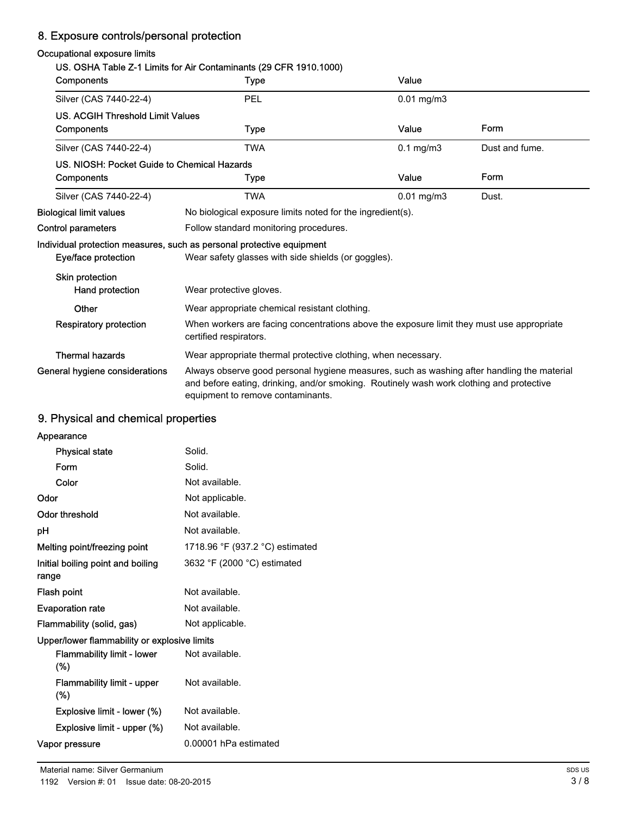# 8. Exposure controls/personal protection

### Occupational exposure limits

### US. OSHA Table Z-1 Limits for Air Contaminants (29 CFR 1910.1000)

| <b>Components</b>                           | Type                                                                                                                                                                                                                        | Value           |                |
|---------------------------------------------|-----------------------------------------------------------------------------------------------------------------------------------------------------------------------------------------------------------------------------|-----------------|----------------|
| Silver (CAS 7440-22-4)                      | PEL                                                                                                                                                                                                                         | $0.01$ mg/m $3$ |                |
| <b>US. ACGIH Threshold Limit Values</b>     |                                                                                                                                                                                                                             |                 |                |
| Components                                  | Type                                                                                                                                                                                                                        | Value           | Form           |
| Silver (CAS 7440-22-4)                      | <b>TWA</b>                                                                                                                                                                                                                  | $0.1$ mg/m $3$  | Dust and fume. |
| US. NIOSH: Pocket Guide to Chemical Hazards |                                                                                                                                                                                                                             |                 |                |
| Components                                  | Type                                                                                                                                                                                                                        | Value           | Form           |
| Silver (CAS 7440-22-4)                      | <b>TWA</b>                                                                                                                                                                                                                  | $0.01$ mg/m $3$ | Dust.          |
| <b>Biological limit values</b>              | No biological exposure limits noted for the ingredient(s).                                                                                                                                                                  |                 |                |
| <b>Control parameters</b>                   | Follow standard monitoring procedures.                                                                                                                                                                                      |                 |                |
|                                             | Individual protection measures, such as personal protective equipment                                                                                                                                                       |                 |                |
| Eye/face protection                         | Wear safety glasses with side shields (or goggles).                                                                                                                                                                         |                 |                |
| Skin protection                             |                                                                                                                                                                                                                             |                 |                |
| Hand protection                             | Wear protective gloves.                                                                                                                                                                                                     |                 |                |
| Other                                       | Wear appropriate chemical resistant clothing.                                                                                                                                                                               |                 |                |
| <b>Respiratory protection</b>               | When workers are facing concentrations above the exposure limit they must use appropriate<br>certified respirators.                                                                                                         |                 |                |
| <b>Thermal hazards</b>                      | Wear appropriate thermal protective clothing, when necessary.                                                                                                                                                               |                 |                |
| General hygiene considerations              | Always observe good personal hygiene measures, such as washing after handling the material<br>and before eating, drinking, and/or smoking. Routinely wash work clothing and protective<br>equipment to remove contaminants. |                 |                |

# 9. Physical and chemical properties

| Appearance                                   |                                 |
|----------------------------------------------|---------------------------------|
| <b>Physical state</b>                        | Solid.                          |
| Form                                         | Solid.                          |
| Color                                        | Not available.                  |
| Odor                                         | Not applicable.                 |
| Odor threshold                               | Not available.                  |
| рH                                           | Not available.                  |
| Melting point/freezing point                 | 1718.96 °F (937.2 °C) estimated |
| Initial boiling point and boiling<br>range   | 3632 °F (2000 °C) estimated     |
| Flash point                                  | Not available.                  |
| <b>Evaporation rate</b>                      | Not available.                  |
| Flammability (solid, gas)                    | Not applicable.                 |
| Upper/lower flammability or explosive limits |                                 |
| <b>Flammability limit - lower</b><br>$(\%)$  | Not available.                  |
| <b>Flammability limit - upper</b><br>$(\%)$  | Not available.                  |
| Explosive limit - lower (%)                  | Not available.                  |
| Explosive limit - upper (%)                  | Not available.                  |
| Vapor pressure                               | 0.00001 hPa estimated           |
|                                              |                                 |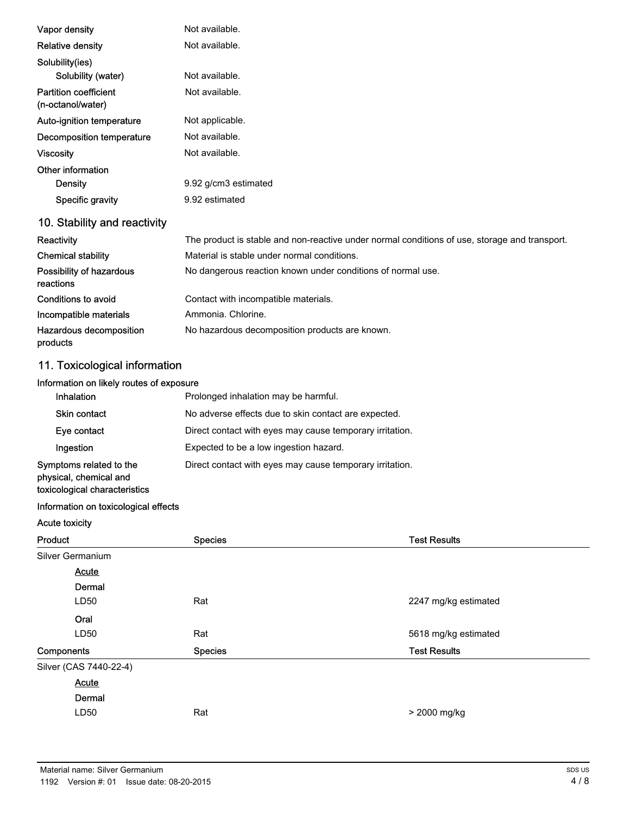| Vapor density                                     | Not available.                                                                                |
|---------------------------------------------------|-----------------------------------------------------------------------------------------------|
| <b>Relative density</b>                           | Not available.                                                                                |
| Solubility(ies)                                   |                                                                                               |
| Solubility (water)                                | Not available.                                                                                |
| <b>Partition coefficient</b><br>(n-octanol/water) | Not available.                                                                                |
| Auto-ignition temperature                         | Not applicable.                                                                               |
| Decomposition temperature                         | Not available.                                                                                |
| <b>Viscosity</b>                                  | Not available.                                                                                |
| Other information                                 |                                                                                               |
| Density                                           | 9.92 g/cm3 estimated                                                                          |
| Specific gravity                                  | 9.92 estimated                                                                                |
| 10. Stability and reactivity                      |                                                                                               |
| Reactivity                                        | The product is stable and non-reactive under normal conditions of use, storage and transport. |
| <b>Chemical stability</b>                         | Material is stable under normal conditions.                                                   |
| Possibility of hazardous<br>reactions             | No dangerous reaction known under conditions of normal use.                                   |
| Conditions to avoid                               | Contact with incompatible materials.                                                          |
| Incompatible materials                            | Ammonia, Chlorine,                                                                            |
| Hazardous decomposition<br>products               | No hazardous decomposition products are known.                                                |

# 11. Toxicological information

# Information on likely routes of exposure

| <b>Inhalation</b>                                                                  | Prolonged inhalation may be harmful.                     |
|------------------------------------------------------------------------------------|----------------------------------------------------------|
| Skin contact                                                                       | No adverse effects due to skin contact are expected.     |
| Eye contact                                                                        | Direct contact with eyes may cause temporary irritation. |
| Ingestion                                                                          | Expected to be a low ingestion hazard.                   |
| Symptoms related to the<br>physical, chemical and<br>toxicological characteristics | Direct contact with eyes may cause temporary irritation. |

### Information on toxicological effects

Acute toxicity

| Product                | <b>Species</b> | <b>Test Results</b>  |
|------------------------|----------------|----------------------|
| Silver Germanium       |                |                      |
| <b>Acute</b>           |                |                      |
| Dermal                 |                |                      |
| LD50                   | Rat            | 2247 mg/kg estimated |
| Oral                   |                |                      |
| LD50                   | Rat            | 5618 mg/kg estimated |
| Components             | <b>Species</b> | <b>Test Results</b>  |
| Silver (CAS 7440-22-4) |                |                      |
| <b>Acute</b>           |                |                      |
| Dermal                 |                |                      |
| LD50                   | Rat            | > 2000 mg/kg         |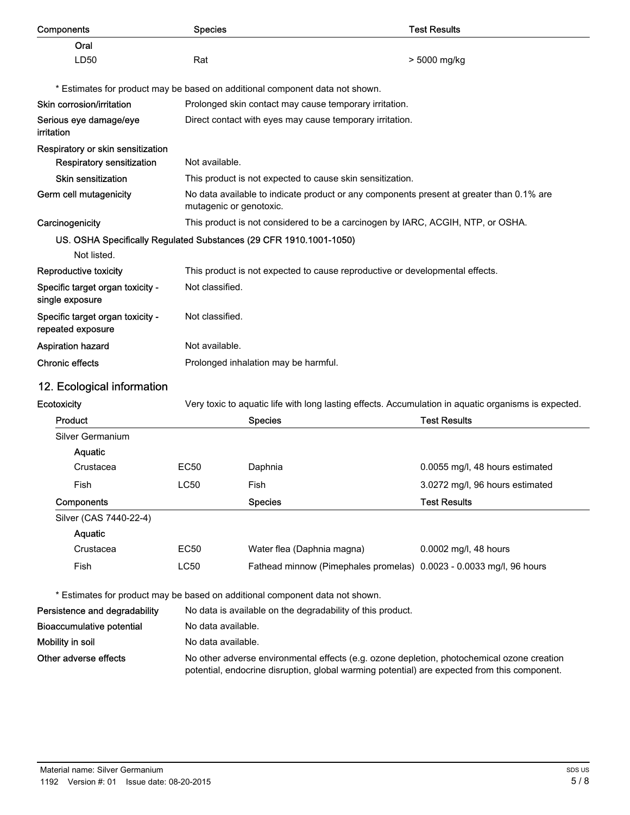| Components                                                         | <b>Species</b>                                         |                                                                                                                                                                                            | <b>Test Results</b>                                                                                  |
|--------------------------------------------------------------------|--------------------------------------------------------|--------------------------------------------------------------------------------------------------------------------------------------------------------------------------------------------|------------------------------------------------------------------------------------------------------|
| Oral                                                               |                                                        |                                                                                                                                                                                            |                                                                                                      |
| LD50                                                               | Rat                                                    |                                                                                                                                                                                            | > 5000 mg/kg                                                                                         |
|                                                                    |                                                        | * Estimates for product may be based on additional component data not shown.                                                                                                               |                                                                                                      |
| Skin corrosion/irritation                                          | Prolonged skin contact may cause temporary irritation. |                                                                                                                                                                                            |                                                                                                      |
| Serious eye damage/eye<br><i>irritation</i>                        |                                                        | Direct contact with eyes may cause temporary irritation.                                                                                                                                   |                                                                                                      |
| Respiratory or skin sensitization                                  |                                                        |                                                                                                                                                                                            |                                                                                                      |
| <b>Respiratory sensitization</b>                                   | Not available.                                         |                                                                                                                                                                                            |                                                                                                      |
| <b>Skin sensitization</b>                                          |                                                        | This product is not expected to cause skin sensitization.                                                                                                                                  |                                                                                                      |
| Germ cell mutagenicity                                             | mutagenic or genotoxic.                                | No data available to indicate product or any components present at greater than 0.1% are                                                                                                   |                                                                                                      |
| Carcinogenicity                                                    |                                                        | This product is not considered to be a carcinogen by IARC, ACGIH, NTP, or OSHA.                                                                                                            |                                                                                                      |
| US. OSHA Specifically Regulated Substances (29 CFR 1910.1001-1050) |                                                        |                                                                                                                                                                                            |                                                                                                      |
| Not listed.                                                        |                                                        |                                                                                                                                                                                            |                                                                                                      |
| <b>Reproductive toxicity</b>                                       |                                                        | This product is not expected to cause reproductive or developmental effects.                                                                                                               |                                                                                                      |
| Specific target organ toxicity -<br>single exposure                | Not classified.                                        |                                                                                                                                                                                            |                                                                                                      |
| Specific target organ toxicity -<br>repeated exposure              | Not classified.                                        |                                                                                                                                                                                            |                                                                                                      |
| <b>Aspiration hazard</b>                                           | Not available.                                         |                                                                                                                                                                                            |                                                                                                      |
| <b>Chronic effects</b>                                             |                                                        | Prolonged inhalation may be harmful.                                                                                                                                                       |                                                                                                      |
| 12. Ecological information                                         |                                                        |                                                                                                                                                                                            |                                                                                                      |
| Ecotoxicity                                                        |                                                        |                                                                                                                                                                                            | Very toxic to aquatic life with long lasting effects. Accumulation in aquatic organisms is expected. |
| <b>Product</b>                                                     |                                                        | <b>Species</b>                                                                                                                                                                             | <b>Test Results</b>                                                                                  |
| Silver Germanium                                                   |                                                        |                                                                                                                                                                                            |                                                                                                      |
| Aquatic                                                            |                                                        |                                                                                                                                                                                            |                                                                                                      |
| Crustacea                                                          | EC50                                                   | Daphnia                                                                                                                                                                                    | 0.0055 mg/l, 48 hours estimated                                                                      |
| Fish                                                               | LC50                                                   | Fish                                                                                                                                                                                       | 3.0272 mg/l, 96 hours estimated                                                                      |
| Components                                                         |                                                        | <b>Species</b>                                                                                                                                                                             | <b>Test Results</b>                                                                                  |
| Silver (CAS 7440-22-4)                                             |                                                        |                                                                                                                                                                                            |                                                                                                      |
| Aquatic                                                            |                                                        |                                                                                                                                                                                            |                                                                                                      |
| Crustacea                                                          | EC50                                                   | Water flea (Daphnia magna)                                                                                                                                                                 | 0.0002 mg/l, 48 hours                                                                                |
| Fish                                                               | <b>LC50</b>                                            | Fathead minnow (Pimephales promelas) 0.0023 - 0.0033 mg/l, 96 hours                                                                                                                        |                                                                                                      |
|                                                                    |                                                        | * Estimates for product may be based on additional component data not shown.                                                                                                               |                                                                                                      |
| Persistence and degradability                                      |                                                        | No data is available on the degradability of this product.                                                                                                                                 |                                                                                                      |
| <b>Bioaccumulative potential</b>                                   | No data available.                                     |                                                                                                                                                                                            |                                                                                                      |
| Mobility in soil                                                   | No data available.                                     |                                                                                                                                                                                            |                                                                                                      |
| Other adverse effects                                              |                                                        | No other adverse environmental effects (e.g. ozone depletion, photochemical ozone creation<br>potential, endocrine disruption, global warming potential) are expected from this component. |                                                                                                      |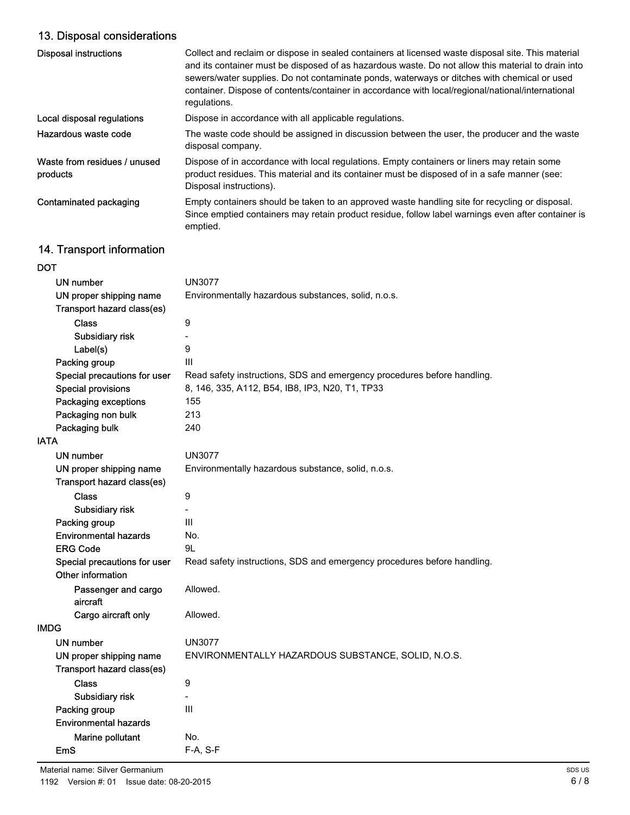# 13. Disposal considerations

| <b>Disposal instructions</b>             | Collect and reclaim or dispose in sealed containers at licensed waste disposal site. This material<br>and its container must be disposed of as hazardous waste. Do not allow this material to drain into<br>sewers/water supplies. Do not contaminate ponds, waterways or ditches with chemical or used<br>container. Dispose of contents/container in accordance with local/regional/national/international<br>regulations. |
|------------------------------------------|------------------------------------------------------------------------------------------------------------------------------------------------------------------------------------------------------------------------------------------------------------------------------------------------------------------------------------------------------------------------------------------------------------------------------|
| Local disposal regulations               | Dispose in accordance with all applicable regulations.                                                                                                                                                                                                                                                                                                                                                                       |
| Hazardous waste code                     | The waste code should be assigned in discussion between the user, the producer and the waste<br>disposal company.                                                                                                                                                                                                                                                                                                            |
| Waste from residues / unused<br>products | Dispose of in accordance with local regulations. Empty containers or liners may retain some<br>product residues. This material and its container must be disposed of in a safe manner (see:<br>Disposal instructions).                                                                                                                                                                                                       |
| Contaminated packaging                   | Empty containers should be taken to an approved waste handling site for recycling or disposal.<br>Since emptied containers may retain product residue, follow label warnings even after container is<br>emptied.                                                                                                                                                                                                             |

# 14. Transport information

| DOT                          |                                                                         |
|------------------------------|-------------------------------------------------------------------------|
| <b>UN number</b>             | <b>UN3077</b>                                                           |
| UN proper shipping name      | Environmentally hazardous substances, solid, n.o.s.                     |
| Transport hazard class(es)   |                                                                         |
| <b>Class</b>                 | 9                                                                       |
| Subsidiary risk              |                                                                         |
| Label(s)                     | 9                                                                       |
| Packing group                | Ш                                                                       |
| Special precautions for user | Read safety instructions, SDS and emergency procedures before handling. |
| <b>Special provisions</b>    | 8, 146, 335, A112, B54, IB8, IP3, N20, T1, TP33                         |
| Packaging exceptions         | 155                                                                     |
| Packaging non bulk           | 213                                                                     |
| Packaging bulk               | 240                                                                     |
| IATA                         |                                                                         |
| UN number                    | <b>UN3077</b>                                                           |
| UN proper shipping name      | Environmentally hazardous substance, solid, n.o.s.                      |
| Transport hazard class(es)   |                                                                         |
| <b>Class</b>                 | 9                                                                       |
| Subsidiary risk              |                                                                         |
| Packing group                | Ш                                                                       |
| <b>Environmental hazards</b> | No.                                                                     |
| <b>ERG Code</b>              | 9L                                                                      |
| Special precautions for user | Read safety instructions, SDS and emergency procedures before handling. |
| Other information            |                                                                         |
| Passenger and cargo          | Allowed.                                                                |
| aircraft                     |                                                                         |
| Cargo aircraft only          | Allowed.                                                                |
| IMDG                         |                                                                         |
| UN number                    | <b>UN3077</b>                                                           |
| UN proper shipping name      | ENVIRONMENTALLY HAZARDOUS SUBSTANCE, SOLID, N.O.S.                      |
| Transport hazard class(es)   |                                                                         |
| <b>Class</b>                 | 9                                                                       |
| Subsidiary risk              | $\overline{\phantom{0}}$                                                |
| Packing group                | Ш                                                                       |
| <b>Environmental hazards</b> |                                                                         |
| Marine pollutant             | No.                                                                     |
| EmS                          | $F-A, S-F$                                                              |
|                              |                                                                         |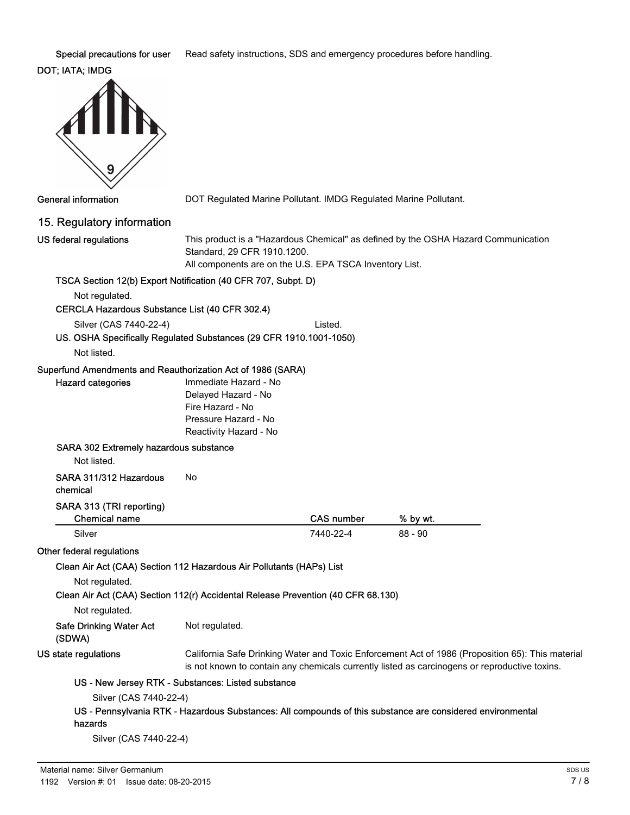Special precautions for user Read safety instructions, SDS and emergency procedures before handling.

# DOT; IATA; IMDG



General information **DOT Regulated Marine Pollutant. IMDG Regulated Marine Pollutant.** 

### 15. Regulatory information

US federal regulations

This product is a "Hazardous Chemical" as defined by the OSHA Hazard Communication Standard, 29 CFR 1910.1200. All components are on the U.S. EPA TSCA Inventory List.

### TSCA Section 12(b) Export Notification (40 CFR 707, Subpt. D)

Not regulated.

### CERCLA Hazardous Substance List (40 CFR 302.4)

Silver (CAS 7440-22-4) Listed.

# US. OSHA Specifically Regulated Substances (29 CFR 1910.1001-1050)

Not listed.

### Superfund Amendments and Reauthorization Act of 1986 (SARA)

| Hazard categories                                                                | Immediate Hazard - No<br>Delayed Hazard - No<br>Fire Hazard - No<br>Pressure Hazard - No<br>Reactivity Hazard - No |                   |           |
|----------------------------------------------------------------------------------|--------------------------------------------------------------------------------------------------------------------|-------------------|-----------|
| SARA 302 Extremely hazardous substance<br>Not listed.                            |                                                                                                                    |                   |           |
| SARA 311/312 Hazardous<br>chemical                                               | No                                                                                                                 |                   |           |
| SARA 313 (TRI reporting)<br><b>Chemical name</b>                                 |                                                                                                                    | <b>CAS number</b> | % by wt.  |
| Silver                                                                           |                                                                                                                    | 7440-22-4         | $88 - 90$ |
| Other federal regulations                                                        |                                                                                                                    |                   |           |
| Clean Air Act (CAA) Section 112 Hazardous Air Pollutants (HAPs) List             |                                                                                                                    |                   |           |
| Not regulated.                                                                   |                                                                                                                    |                   |           |
| Clean Air Act (CAA) Section 112(r) Accidental Release Prevention (40 CFR 68.130) |                                                                                                                    |                   |           |
| Not regulated.                                                                   |                                                                                                                    |                   |           |
| Safe Drinking Water Act                                                          | Not regulated.                                                                                                     |                   |           |

(SDWA) US state regulations

California Safe Drinking Water and Toxic Enforcement Act of 1986 (Proposition 65): This material is not known to contain any chemicals currently listed as carcinogens or reproductive toxins.

### US - New Jersey RTK - Substances: Listed substance

Silver (CAS 7440-22-4)

#### US - Pennsylvania RTK - Hazardous Substances: All compounds of this substance are considered environmental hazards

Silver (CAS 7440-22-4)